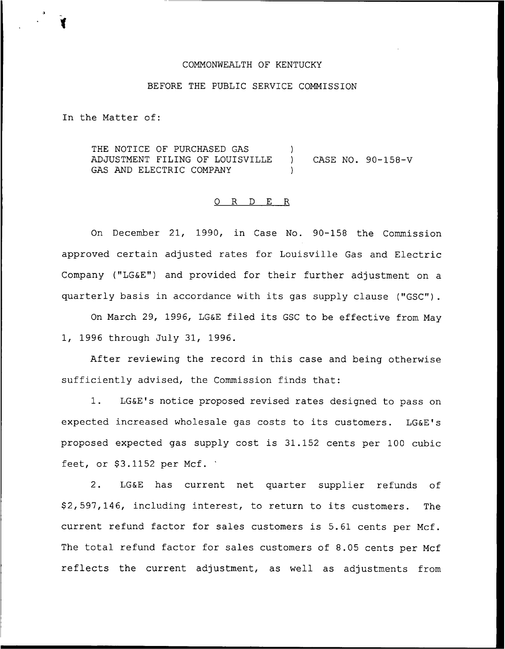## COMMONWEALTH OF KENTUCKY

## BEFORE THE PUBLIC SERVICE COMMISSION

In the Matter of:

THE NOTICE OF PURCHASED GAS ADJUSTMENT FILING OF LOUISVILLE ) CASE NO. 90-158-V GAS AND ELECTRIC COMPANY

#### 0 R <sup>D</sup> E R

On December 21, 1990, in Case No. 90-158 the Commission approved certain adjusted rates for Louisville Gas and Electric Company ("LG&E") and provided for their further adjustment on a quarterly basis in accordance with its gas supply clause ("GSC").

On March 29, 1996, LG&E filed its GSC to be effective from May 1, 1996 through July 31, 1996

After reviewing the record in this case and being otherwise sufficiently advised, the Commission finds that:

1. LG&E's notice proposed revised rates designed to pass on expected increased wholesale gas costs to its customers. LG&E's proposed expected gas supply cost is 31.152 cents per 100 cubic feet, or  $$3.1152$  per Mcf.

2. LG&E has current net quarter supplier refunds of \$ 2, 597, 146, including interest, to return to its customers. The current refund factor for sales customers is 5.61 cents per Mcf. The total refund factor for sales customers of 8.05 cents per Mcf reflects the current adjustment, as well as adjustments from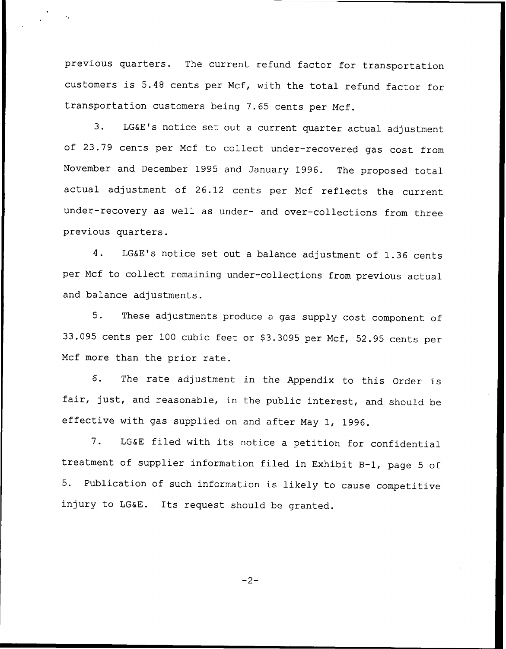previous quarters. The current refund factor for transportation customers is 5.48 cents per Mcf, with the total refund factor for transportation customers being 7.65 cents per Mcf.

3. LG&E's notice set out <sup>a</sup> current quarter actual adjustment of 23.79 cents per Mcf to collect under-recovered gas cost from November and December 1995 and January 1996. The proposed total actual adjustment of 26.12 cents per Mcf reflects the current under-recovery as well as under- and over-collections from three previous quarters.

4. LG&E's notice set out <sup>a</sup> balance adjustment of 1.36 cents per Mcf to collect remaining under-collections from previous actual and balance adjustments.

5. These adjustments produce <sup>a</sup> gas supply cost component of 33.095 cents per 100 cubic feet or \$3.3095 per Mcf, 52.95 cents per Mcf more than the prior rate.

6. The rate adjustment in the Appendix to this Order is fair, just, and reasonable, in the public interest, and should be effective with gas supplied on and after May 1, 1996.

7. LG&E filed with its notice <sup>a</sup> petition for confidential treatment of supplier information filed in Exhibit B-l, page <sup>5</sup> of 5. Publication of such information is likely to cause competitive injury to LG&E. Its request should be granted.

 $-2-$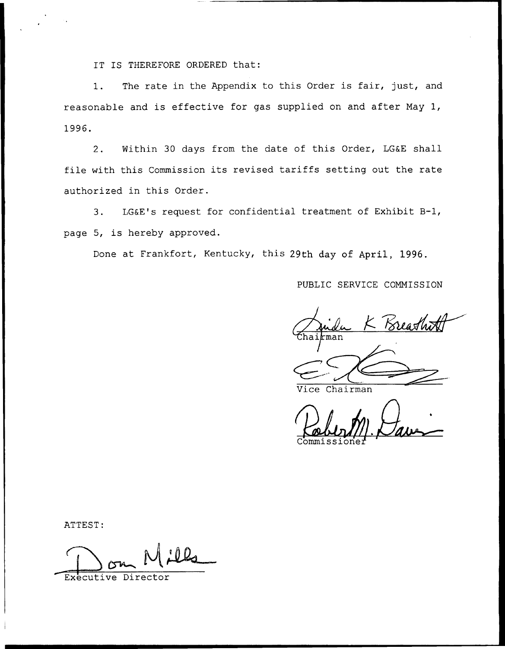IT IS THEREFORE ORDERED that:

1. The rate in the Appendix to this Order is fair, just, and reasonable and is effective for gas supplied on and after May 1, 1996.

2. Within 30 days from the date of this Order, LG&E shall file with this Commission its revised tariffs setting out the rate authorized in this Order.

3. LG&E's request for confidential treatment of Exhibit B-1, page 5, is hereby approved.

Done at Frankfort, Kentucky, this 29th day of April, 1996.

PUBLIC SERVICE COMMISSION

- Breathi man

ce Chairman

Commissione

ATTEST:

Executive Director